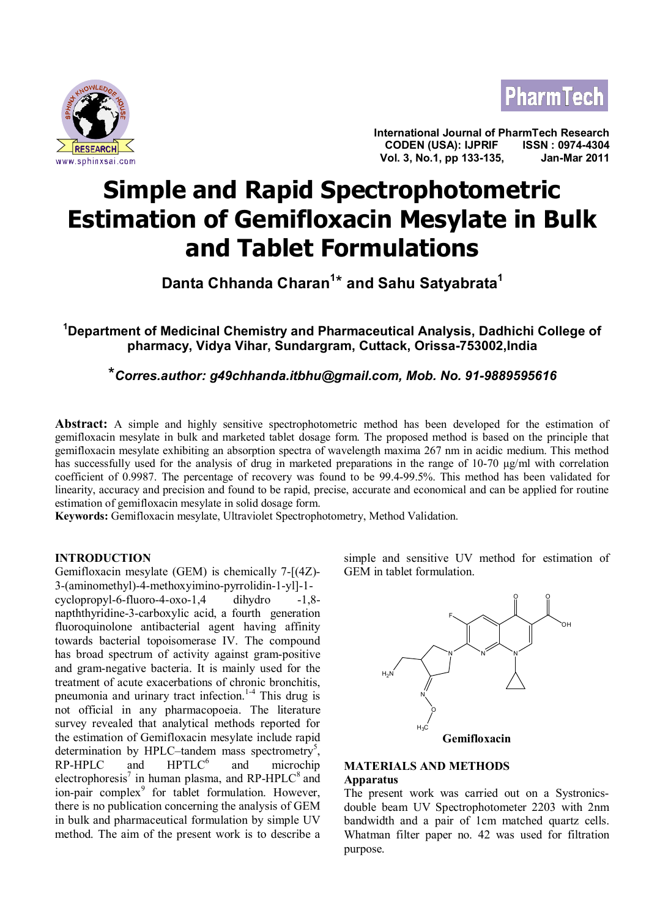



**International Journal of PharmTech Research CODEN (USA): IJPRIF ISSN : 0974-4304 Vol. 3, No.1, pp 133-135, Jan-Mar 2011**

# **Simple and Rapid Spectrophotometric Estimation of Gemifloxacin Mesylate in Bulk and Tablet Formulations**

**Danta Chhanda Charan<sup>1</sup>** \* **and Sahu Satyabrata<sup>1</sup>**

**<sup>1</sup>Department of Medicinal Chemistry and Pharmaceutical Analysis, Dadhichi College of pharmacy, Vidya Vihar, Sundargram, Cuttack, Orissa-753002,India**

\**Corres.author: g49chhanda.itbhu@gmail.com, Mob. No. 91-9889595616*

**Abstract:** A simple and highly sensitive spectrophotometric method has been developed for the estimation of gemifloxacin mesylate in bulk and marketed tablet dosage form. The proposed method is based on the principle that gemifloxacin mesylate exhibiting an absorption spectra of wavelength maxima 267 nm in acidic medium. This method has successfully used for the analysis of drug in marketed preparations in the range of 10-70 µg/ml with correlation coefficient of 0.9987. The percentage of recovery was found to be 99.4-99.5%. This method has been validated for linearity, accuracy and precision and found to be rapid, precise, accurate and economical and can be applied for routine estimation of gemifloxacin mesylate in solid dosage form.

**Keywords:** Gemifloxacin mesylate, Ultraviolet Spectrophotometry, Method Validation.

### **INTRODUCTION**

Gemifloxacin mesylate (GEM) is chemically 7-[(4Z)- 3-(aminomethyl)-4-methoxyimino-pyrrolidin-1-yl]-1 cyclopropyl-6-fluoro-4-oxo-1,4 dihydro -1,8 napththyridine-3-carboxylic acid, a fourth generation fluoroquinolone antibacterial agent having affinity towards bacterial topoisomerase IV. The compound has broad spectrum of activity against gram-positive and gram-negative bacteria. It is mainly used for the treatment of acute exacerbations of chronic bronchitis, pneumonia and urinary tract infection.<sup>1-4</sup> This drug is not official in any pharmacopoeia. The literature survey revealed that analytical methods reported for the estimation of Gemifloxacin mesylate include rapid determination by HPLC–tandem mass spectrometry<sup>5</sup>, RP-HPLC and HPTLC<sup>6</sup> and microchip electrophoresis<sup>7</sup> in human plasma, and RP-HPLC $^8$  and ion-pair complex<sup>9</sup> for tablet formulation. However, there is no publication concerning the analysis of GEM in bulk and pharmaceutical formulation by simple UV method. The aim of the present work is to describe a

simple and sensitive UV method for estimation of GEM in tablet formulation.



## **MATERIALS AND METHODS**

### **Apparatus**

The present work was carried out on a Systronicsdouble beam UV Spectrophotometer 2203 with 2nm bandwidth and a pair of 1cm matched quartz cells. Whatman filter paper no. 42 was used for filtration purpose.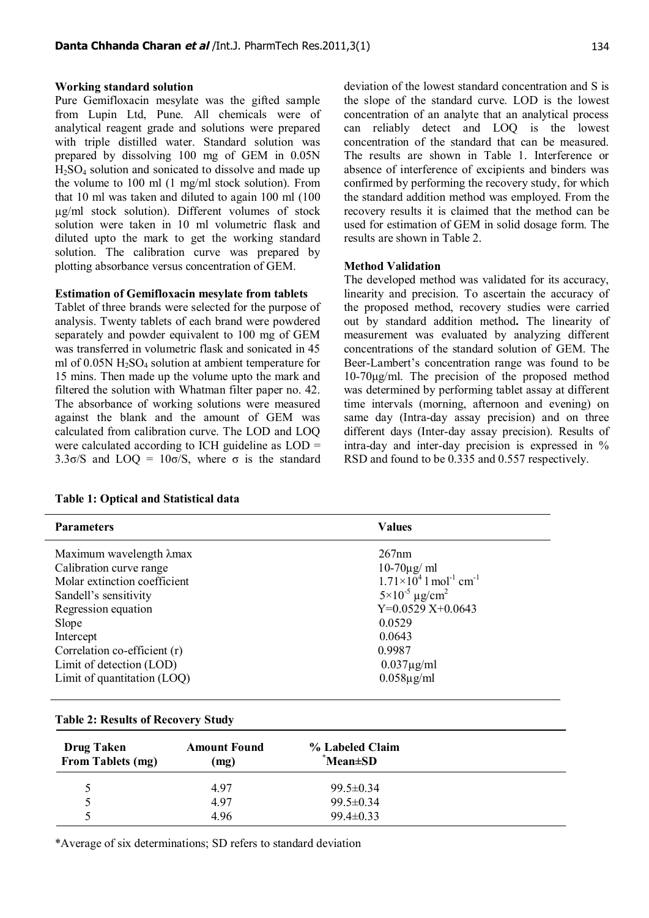#### **Working standard solution**

Pure Gemifloxacin mesylate was the gifted sample from Lupin Ltd, Pune. All chemicals were of analytical reagent grade and solutions were prepared with triple distilled water. Standard solution was prepared by dissolving 100 mg of GEM in 0.05N H2SO4 solution and sonicated to dissolve and made up the volume to 100 ml (1 mg/ml stock solution). From that 10 ml was taken and diluted to again 100 ml (100 µg/ml stock solution). Different volumes of stock solution were taken in 10 ml volumetric flask and diluted upto the mark to get the working standard solution. The calibration curve was prepared by plotting absorbance versus concentration of GEM.

#### **Estimation of Gemifloxacin mesylate from tablets**

Tablet of three brands were selected for the purpose of analysis. Twenty tablets of each brand were powdered separately and powder equivalent to 100 mg of GEM was transferred in volumetric flask and sonicated in 45 ml of  $0.05N H<sub>2</sub>SO<sub>4</sub>$  solution at ambient temperature for 15 mins. Then made up the volume upto the mark and filtered the solution with Whatman filter paper no. 42. The absorbance of working solutions were measured against the blank and the amount of GEM was calculated from calibration curve. The LOD and LOQ were calculated according to ICH guideline as LOD = 3.3 $\sigma$ /S and LOQ = 10 $\sigma$ /S, where  $\sigma$  is the standard deviation of the lowest standard concentration and S is the slope of the standard curve. LOD is the lowest concentration of an analyte that an analytical process can reliably detect and LOQ is the lowest concentration of the standard that can be measured. The results are shown in Table 1. Interference or absence of interference of excipients and binders was confirmed by performing the recovery study, for which the standard addition method was employed. From the recovery results it is claimed that the method can be used for estimation of GEM in solid dosage form. The results are shown in Table 2.

#### **Method Validation**

The developed method was validated for its accuracy, linearity and precision. To ascertain the accuracy of the proposed method, recovery studies were carried out by standard addition method**.** The linearity of measurement was evaluated by analyzing different concentrations of the standard solution of GEM. The Beer-Lambert's concentration range was found to be 10-70μg/ml. The precision of the proposed method was determined by performing tablet assay at different time intervals (morning, afternoon and evening) on same day (Intra-day assay precision) and on three different days (Inter-day assay precision). Results of intra-day and inter-day precision is expressed in % RSD and found to be 0.335 and 0.557 respectively.

| <b>Parameters</b>                               | <b>Values</b>                                           |  |
|-------------------------------------------------|---------------------------------------------------------|--|
| Maximum wavelength λmax                         | 267nm                                                   |  |
| Calibration curve range<br>$10-70\mu\text{g/m}$ |                                                         |  |
| Molar extinction coefficient                    | $1.71\times10^{4}$ 1 mol <sup>-1</sup> cm <sup>-1</sup> |  |
| Sandell's sensitivity                           | $5 \times 10^{-5}$ µg/cm <sup>2</sup>                   |  |
| $Y=0.0529 X+0.0643$<br>Regression equation      |                                                         |  |
| 0.0529<br>Slope                                 |                                                         |  |
| 0.0643<br>Intercept                             |                                                         |  |
| Correlation co-efficient (r)                    | 0.9987                                                  |  |
| Limit of detection (LOD)                        | $0.037\mu\text{g/ml}$                                   |  |
| Limit of quantitation (LOQ)                     | $0.058\mu\text{g/ml}$                                   |  |

# **Table 2: Results of Recovery Study**

**Table 1: Optical and Statistical data**

| <b>Drug Taken</b><br>From Tablets (mg) | <b>Amount Found</b><br>(mg) | % Labeled Claim<br>$^*$ Mean $\pm$ SD |  |
|----------------------------------------|-----------------------------|---------------------------------------|--|
|                                        | 4.97                        | $99.5 \pm 0.34$                       |  |
| Ć                                      | 4.97                        | $99.5 \pm 0.34$                       |  |
|                                        | 4.96                        | $99.4 \pm 0.33$                       |  |

\*Average of six determinations; SD refers to standard deviation